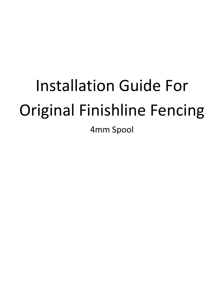# Installation Guide For Original Finishline Fencing

4mm Spool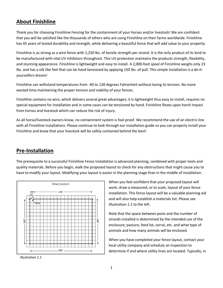# **About Finishline**

Thank you for choosing Finishline Fencing for the containment of your horses and/or livestock! We are confident that you will be satisfied like the thousands of others who are using Finishline on their farms worldwide. Finishline has 45 years of tested durability and strength, while delivering a beautiful fence that will add value to your property.

Finishline is as strong as a wire fence with 1,250 lbs. of tensile strength per strand. It is the only product of its kind to be manufactured with vital UV inhibitors throughout. This UV protection maintains the products strength, flexibility, and stunning appearance. Finishline is lightweight and easy to install. A 2,000-foot spool of Finishline weighs only 23 lbs. and has a silk like feel that can be hand tensioned by applying 150 lbs. of pull. This simple installation is a do-ityourselfers dream!

Finishline can withstand temperatures from -40 to 128 degrees Fahrenheit without losing its tension. No more wasted time maintaining the proper tension and viability of your fences.

Finishline contains no wire, which delivers several great advantages; it is lightweight thus easy to install, requires no special equipment for installation and in some cases can be tensioned by hand. Finishline flexes upon harsh impact from horses and livestock which can reduce the risk of injury.

As all horse/livestock owners know, no containment system is fool proof. We recommend the use of an electric line with all Finishline installations. Please continue to look through our installation guide so you can properly install your Finishline and know that your livestock will be safely contained behind the best!

## **Pre-Installation**

The prerequisite to a successful Finishline Fence Installation is advanced planning, combined with proper tools and quality materials. Before you begin, walk the proposed layout to check for any obstructions that might cause you to have to modify your layout. Modifying your layout is easier in the planning stage than in the middle of installation.



*Illustration 1.1*

When you feel confident that your proposed layout will work, draw a measured, or to scale, layout of your fence installation. This fence layout will be a valuable planning aid and will also help establish a materials list. Please see *Illustration 1.1* to the left.

Note that the space between posts and the number of strands installed is determined by the intended use of the enclosure; pasture, feed lot, corral, etc. and what type of animals and how many animals will be enclosed.

When you have completed your fence layout, contact your local utility company and schedule an inspection to determine if and where utility lines are located. Typically, in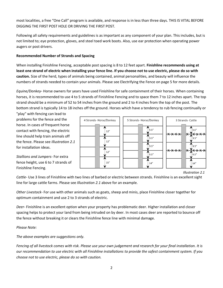most localities, a free "One Call" program is available, and response is in less than three days. THIS IS VITAL BEFORE DIGGING THE FIRST POST HOLE OR DRIVING THE FIRST POST.

Following all safety requirements and guidelines is as important as any component of your plan. This includes, but is not limited to; eye protection, gloves, and steel toed work boots. Also, use ear protection when operating power augers or post drivers.

## **Recommended Number of Strands and Spacing**

When installing Finishline Fencing, acceptable post spacing is 8 to 12 feet apart. **Finishline recommends using at least one strand of electric when installing your fence line. If you choose not to use electric, please do so with caution.** Size of the herd, types of animals being contained, animal personalities, and beauty will influence the numbers of strands needed to contain your animals. Please see Electrifying the Fence on page 5 for more details.

*Equine/Donkey*- Horse owners for years have used Finishline for safe containment of their horses. When containing horses, it is recommended to use 4 to 5 strands of Finishline Fencing and to space them 7 to 12 inches apart. The top strand should be a minimum of 52 to 54 inches from the ground and 2 to 4 inches from the top of the post. The bottom strand is typically 14 to 18 inches off the ground. Horses which have a tendency to rub fencing continually or

"play" with fencing can lead to problems for the fence and the horse. In cases of frequent horse contact with fencing, the electric line should help train animals off the fence. Please see *Illustration 2.1* for installation ideas.



*Stallions and Jumpers*- For extra fence height, use 6 to 7 strands of Finishline Fencing.

*Illustration 2.1*

*Cattle*- Use 3 lines of Finishline with two lines of barbed or electric between strands. Finishline is an excellent sight line for large cattle farms. Please see *Illustration 2.1* above for an example.

*Other Livestock*- For use with other animals such as goats, sheep and minis, place Finishline closer together for optimum containment and use 2 to 3 strands of electric.

*Deer*- Finishline is an excellent option when your property has problematic deer. Higher installation and closer spacing helps to protect your land from being intruded on by deer. In most cases deer are reported to bounce off the fence without breaking it or clears the Finishline fence line with minimal damage.

## *Please Note:*

*The above examples are suggestions only.* 

*Fencing of all livestock comes with risk. Please use your own judgement and research for your final installation. It is our recommendation to use electric with all Finishline installations to provide the safest containment system. If you choose not to use electric, please do so with caution.*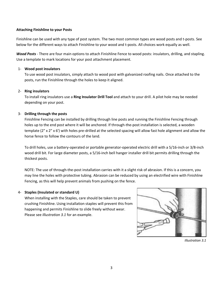## **Attaching Finishline to your Posts**

Finishline can be used with any type of post system. The two most common types are wood posts and t-posts. See below for the different ways to attach Finishline to your wood and t-posts. All choices work equally as well.

*Wood Posts* - There are four main options to attach Finishline Fence to wood posts: insulators, drilling, and stapling. Use a template to mark locations for your post attachment placement.

## 1- **Wood post insulators**

To use wood post insulators, simply attach to wood post with galvanized roofing nails. Once attached to the posts, run the Finishline through the holes to keep it aligned.

## 2- **Ring insulators**

To install ring insulators use a **Ring Insulator Drill Tool** and attach to your drill. A pilot hole may be needed depending on your post.

## 3- **Drilling through the posts**

Finishline Fencing can be installed by drilling through line posts and running the Finishline Fencing through holes up to the end post where it will be anchored. If through-the-post installation is selected, a wooden template (2" x 2" x 6') with holes pre-drilled at the selected spacing will allow fast hole alignment and allow the horse fence to follow the contours of the land.

To drill holes, use a battery-operated or portable generator-operated electric drill with a 5/16-inch or 3/8-inch wood drill bit. For large diameter posts, a 5/16-inch bell hanger installer drill bit permits drilling through the thickest posts.

NOTE: The use of through-the-post installation carries with it a slight risk of abrasion. If this is a concern, you may line the holes with protective tubing. Abrasion can be reduced by using an electrified wire with Finishline Fencing, as this will help prevent animals from pushing on the fence.

## 4- **Staples (Insulated or standard U)**

When installing with the Staples, care should be taken to prevent crushing Finishline. Using installation staples will prevent this from happening and permits Finishline to slide freely without wear. Please see *Illustration 3.1* for an example.



*Illustration 3.1*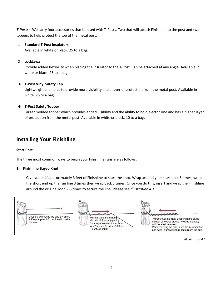*T-Posts* – We carry four accessories that be used with T-Posts. Two that will attach Finishline to the post and two toppers to help protect the top of the metal post.

## 1- **Standard T-Post Insulators**

Available in white or black. 25 to a bag.

## 2- **LockJawz**

Provide added flexibility when placing the insulator to the T-Post. Can be attached at any angle. Available in white or black. 25 to a bag.

## **3- T-Post Vinyl Safety Cap**

Lightweight and helps to provide more visibility and a layer of protection from the metal post. Available in white. 25 to a bag.

## **4- T-Post Safety Topper**

Larger molded topper which provides added visibility and the ability to hold electric line and has a higher layer of protection from the metal post. Available in white or black. 10 to a bag.

## **Installing Your Finishline**

## **Start Post**

The three most common ways to begin your Finishline runs are as follows:

## **1- Finishline Bayco Knot**

Give yourself approximately 3 feet of Finishline to start the knot. Wrap around your start post 3 times, wrap the short end up the run line 3 times then wrap back 3 times. Once you do this, insert and wrap the Finishline around the original loop 2-3 times to secure the line. Please see *Illustration 4.1*.



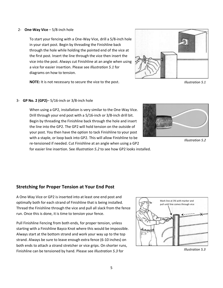### 2- **One-Way Vice** – 5/8-inch hole

To start your fencing with a One-Way Vice, drill a 5/8-inch hole in your start post. Begin by threading the Finishline back through the hole while holding the pointed end of the vice at the first post. Insert the line through the vice then insert the vice into the post. Always cut Finishline at an angle when using a vice for easier insertion. Please see *Illustration 5.1* for diagrams on how to tension.

**NOTE:** It is not necessary to secure the vice to the post.



*Illustration 5.1*

#### 3- **GP No. 2 (GP2)**– 5/16-inch or 3/8-inch hole

When using a GP2, installation is very similar to the One-Way Vice. Drill through your end post with a 5/16-inch or 3/8-inch drill bit. Begin by threading the Finishline back through the hole and insert the line into the GP2. The GP2 will hold tension on the outside of your post. You then have the option to tack Finishline to your post with a staple, or loop back into GP2. This will allow Finishline to be re-tensioned if needed. Cut Finishline at an angle when using a GP2 for easier line insertion. See *Illustration 5.2* to see how GP2 looks installed.



*Illustration 5.2*

## **Stretching for Proper Tension at Your End Post**

A One-Way Vice or GP2 is inserted into at least one end post and optimally both for each strand of Finishline that is being installed. Thread the Finishline through the vice and pull all slack from the fence run. Once this is done, it is time to tension your fence.

Pull Finishline Fencing from both ends, for proper tension, unless starting with a Finishline Bayco Knot where this would be impossible. Always start at the bottom strand and work your way up to the top strand. Always be sure to leave enough extra fence (6-10 inches) on both ends to attach a strand stretcher or vice grips. On shorter runs, Finishline can be tensioned by hand. Please see *Illustration 5.3* for *Illustration 5.3*

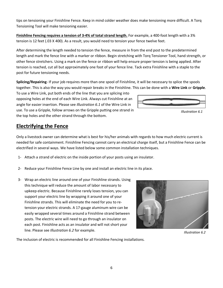6

tips on tensioning your Finishline Fence. Keep in mind colder weather does make tensioning more difficult. A Torq Tensioning Tool will make tensioning easier.

**Finishline Fencing requires a tension of 3-4% of total strand length.** For example, a 400-foot length with a 3% tension is 12 feet (.03 X 400). As a result, you would need to tension your fence twelve feet.

After determining the length needed to tension the fence, measure in from the end post to the predetermined length and mark the fence line with a marker or ribbon. Begin stretching with Torq Tensioner Tool, hand strength, or other fence stretchers. Using a mark on the fence or ribbon will help ensure proper tension is being applied. After tension is reached, cut all but approximately one foot of your fence line. Tack extra Finishline with a staple to the post for future tensioning needs.

**Splicing/Repairing**- If your job requires more than one spool of Finishline, it will be necessary to splice the spools together. This is also the way you would repair breaks in the Finishline. This can be done with a **Wire Link** or **Gripple**.

To use a Wire Link, put both ends of the line that you are splicing into opposing holes at the end of each Wire Link. Always cut Finishline at an angle for easier insertion. Please see *Illustration 6.1* of the Wire Link in use. To use a Gripple, follow arrows on the Gripple putting one strand in the top holes and the other strand through the bottom.

# **Electrifying the Fence**

Only a livestock owner can determine what is best for his/her animals with regards to how much electric current is needed for safe containment. Finishline Fencing cannot carry an electrical charge itself, but a Finishline Fence can be electrified in several ways. We have listed below some common installation techniques.

- 1- Attach a strand of electric on the inside portion of your posts using an insulator.
- 2- Reduce your Finishline Fence Line by one and install an electric line in its place.
- 3- Wrap an electric line around one of your Finishline strands. Using this technique will reduce the amount of labor necessary to upkeep electric. Because Finishline rarely loses tension, you can support your electric line by wrapping it around one of your Finishline strands. This will eliminate the need for you to retension your electric strands. A 17-gauge aluminum wire can be easily wrapped several times around a Finishline strand between posts. The electric wire will need to go through an insulator on each post. Finishline acts as an insulator and will not short your line. Please see *Illustration 6.2* for example.

The inclusion of electric is recommended for all Finishline Fencing installations.



*Illustration 6.1*



*Illustration 6.2*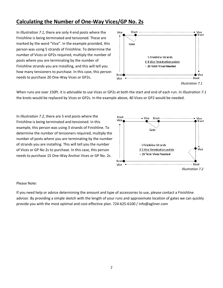# **Calculating the Number of One-Way Vices/GP No. 2s**

In *Illustration 7.1*, there are only 4 end posts where the Finishline is being terminated and tensioned. These are marked by the word "Vice". In the example provided, this person was using 5 strands of Finishline. To determine the number of Vices or GP2s required, multiply the number of posts where you are terminating by the number of Finishline strands you are installing, and this will tell you how many tensioners to purchase. In this case, this person needs to purchase 20 One-Way Vices or GP2s.



When runs are over 150ft. it is advisable to use Vices or GP2s at both the start and end of each run. In *Illustration 7.1* the knots would be replaced by Vices or GP2s. In the example above, 40 Vices or GP2 would be needed.

In *Illustration 7.2*, there are 5 end posts where the Finishline is being terminated and tensioned. In this example, this person was using 3 strands of Finishline. To determine the number of tensioners required, multiply the number of posts where you are terminating by the number of strands you are installing. This will tell you the number of Vices or GP No 2s to purchase. In this case, this person needs to purchase 15 One-Way Anchor Vices or GP No. 2s.



#### Please Note:

If you need help or advice determining the amount and type of accessories to use, please contact a Finishline advisor. By providing a simple sketch with the length of your runs and approximate location of gates we can quickly provide you with the most optimal and cost-effective plan. 724-625-6100 / info@agliner.com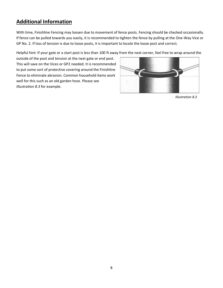# **Additional Information**

With time, Finishline Fencing may loosen due to movement of fence posts. Fencing should be checked occasionally. If fence can be pulled towards you easily, it is recommended to tighten the fence by pulling at the One-Way Vice or GP No. 2. If loss of tension is due to loose posts, it is important to locate the loose post and correct.

Helpful hint: If your gate or a start post is less than 100 ft away from the next corner, feel free to wrap around the

outside of the post and tension at the next gate or end post. This will save on the Vices or GP2 needed. It is recommended to put some sort of protective covering around the Finishline Fence to eliminate abrasion. Common household items work well for this such as an old garden hose. Please see *Illustration 8.3* for example.



*Illustration 8.3*